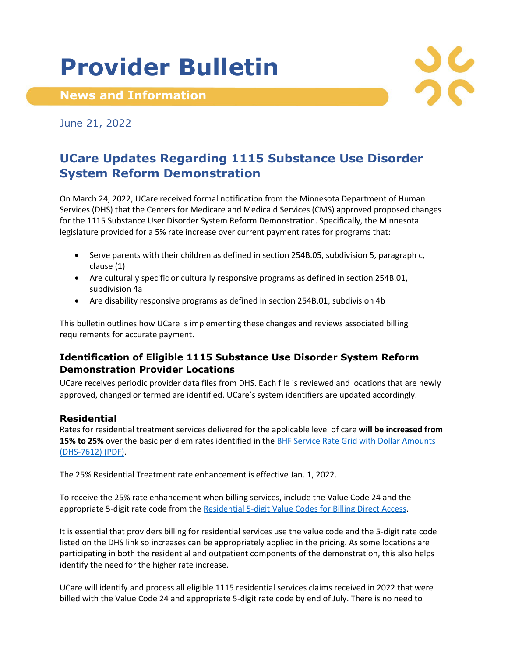# **Provider Bulletin**

**News and Information**



June 21, 2022

## **UCare Updates Regarding 1115 Substance Use Disorder System Reform Demonstration**

On March 24, 2022, UCare received formal notification from the Minnesota Department of Human Services (DHS) that the Centers for Medicare and Medicaid Services (CMS) approved proposed changes for the 1115 Substance User Disorder System Reform Demonstration. Specifically, the Minnesota legislature provided for a 5% rate increase over current payment rates for programs that:

- Serve parents with their children as defined in section 254B.05, subdivision 5, paragraph c, clause (1)
- Are culturally specific or culturally responsive programs as defined in section 254B.01, subdivision 4a
- Are disability responsive programs as defined in section 254B.01, subdivision 4b

This bulletin outlines how UCare is implementing these changes and reviews associated billing requirements for accurate payment.

### **Identification of Eligible 1115 Substance Use Disorder System Reform Demonstration Provider Locations**

UCare receives periodic provider data files from DHS. Each file is reviewed and locations that are newly approved, changed or termed are identified. UCare's system identifiers are updated accordingly.

#### **Residential**

Rates for residential treatment services delivered for the applicable level of care **will be increased from 15% to 25%** over the basic per diem rates identified in the BHF [Service Rate Grid with Dollar Amounts](https://edocs.dhs.state.mn.us/lfserver/Public/DHS-7612-ENG)  [\(DHS-7612\) \(PDF\).](https://edocs.dhs.state.mn.us/lfserver/Public/DHS-7612-ENG)

The 25% Residential Treatment rate enhancement is effective Jan. 1, 2022.

To receive the 25% rate enhancement when billing services, include the Value Code 24 and the appropriate 5-digit rate code from the [Residential 5-digit Value Codes for Billing Direct Access.](https://mn.gov/dhs/assets/res-value-codes-billing-direct-access_tcm1053-477386.pdf)

It is essential that providers billing for residential services use the value code and the 5-digit rate code listed on the DHS link so increases can be appropriately applied in the pricing. As some locations are participating in both the residential and outpatient components of the demonstration, this also helps identify the need for the higher rate increase.

UCare will identify and process all eligible 1115 residential services claims received in 2022 that were billed with the Value Code 24 and appropriate 5-digit rate code by end of July. There is no need to